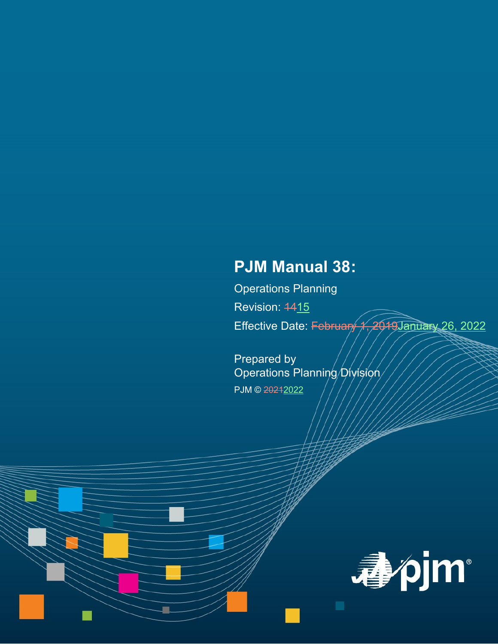# **PJM Manual 38:**

Operations Planning Revision: 4415 Effective Date: February 1, 2019January 26, 2022

Prepared by Operations Planning Division PJM © 20212022

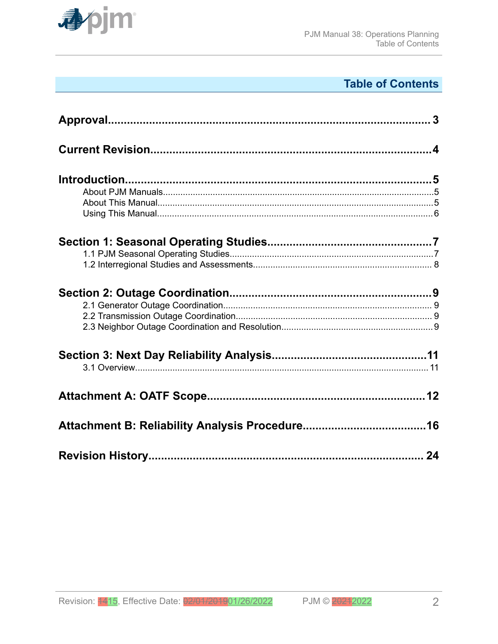

# **Table of Contents**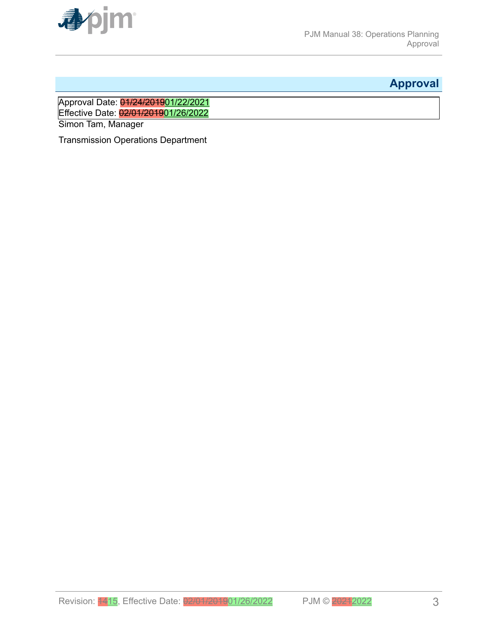<span id="page-2-0"></span>

# **Approval**

Approval Date: <mark>01/24/2019</mark>01/22/2021 Effective Date: 02/01/201901/26/2022

Simon Tam, Manager

Transmission Operations Department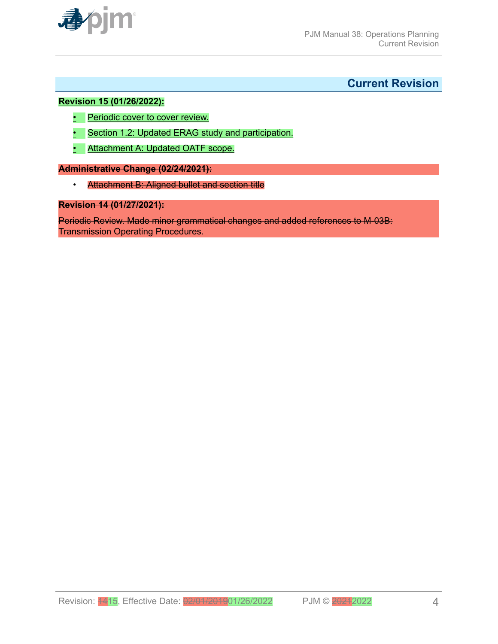<span id="page-3-0"></span>

# **Current Revision**

#### **Revision 15 (01/26/2022):**

- Periodic cover to cover review.
- Section 1.2: Updated ERAG study and participation.
- Attachment A: Updated OATF scope.

#### **Administrative Change (02/24/2021):**

• Attachment B: Aligned bullet and section title

#### **Revision 14 (01/27/2021):**

Periodic Review. Made minor grammatical changes and added references to M-03B: Transmission Operating Procedures.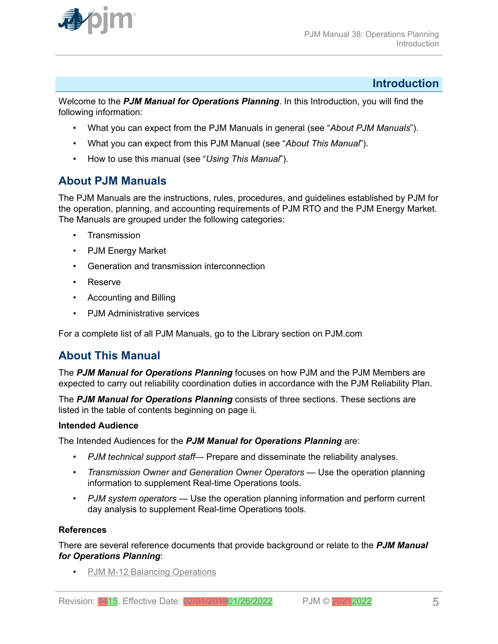<span id="page-4-0"></span>

# **Introduction**

W*e*lcome to the *PJM Manual for Operations Planning*. In this Introduction, you will find the following information:

- What you can expect from the PJM Manuals in general (see "*About PJM Manuals*").
- What you can expect from this PJM Manual (see "*About This Manual*").
- How to use this manual (see "*Using This Manual*").

# **About PJM Manuals**

The PJM Manuals are the instructions, rules, procedures, and guidelines established by PJM for the operation, planning, and accounting requirements of PJM RTO and the PJM Energy Market. The Manuals are grouped under the following categories:

- **Transmission**
- PJM Energy Market
- Generation and transmission interconnection
- Reserve
- Accounting and Billing
- PJM Administrative services

For a complete list of all PJM Manuals, go to the Library section on PJM.com

# **About This Manual**

The *PJM Manual for Operations Planning* focuses on how PJM and the PJM Members are expected to carry out reliability coordination duties in accordance with the PJM Reliability Plan.

The *PJM Manual for Operations Planning* consists of three sections. These sections are listed in the table of contents beginning on page ii.

# **Intended Audience**

The Intended Audiences for the *PJM Manual for Operations Planning* are:

- *PJM technical support staff* Prepare and disseminate the reliability analyses.
- *Transmission Owner and Generation Owner Operators* Use the operation planning information to supplement Real-time Operations tools.
- *PJM system operators* Use the operation planning information and perform current day analysis to supplement Real-time Operations tools.

# **References**

There are several reference documents that provide background or relate to the *PJM Manual for Operations Planning*:

• [PJM M-12 Balancing Operations](http://www.pjm.com/~/media/documents/manuals/m12.ashx)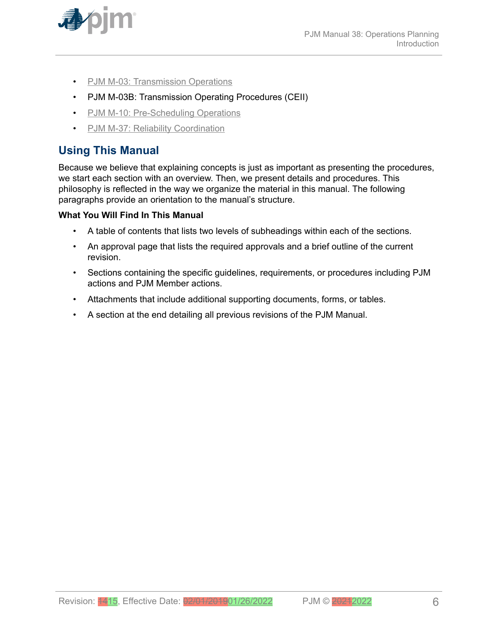<span id="page-5-0"></span>

- [PJM M-03: Transmission Operations](http://www.pjm.com/~/media/documents/manuals/m03.ashx)
- PJM M-03B: Transmission Operating Procedures (CEII)
- [PJM M-10: Pre-Scheduling Operations](http://www.pjm.com/~/media/documents/manuals/m10.ashx)
- [PJM M-37: Reliability Coordination](http://pjm.com/~/media/documents/manuals/m37.ashx)

# **Using This Manual**

Because we believe that explaining concepts is just as important as presenting the procedures, we start each section with an overview. Then, we present details and procedures. This philosophy is reflected in the way we organize the material in this manual. The following paragraphs provide an orientation to the manual's structure.

# **What You Will Find In This Manual**

- A table of contents that lists two levels of subheadings within each of the sections.
- An approval page that lists the required approvals and a brief outline of the current revision.
- Sections containing the specific guidelines, requirements, or procedures including PJM actions and PJM Member actions.
- Attachments that include additional supporting documents, forms, or tables.
- A section at the end detailing all previous revisions of the PJM Manual.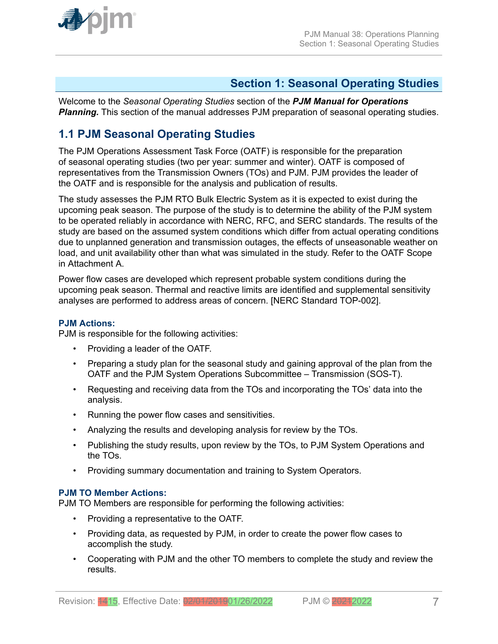<span id="page-6-0"></span>

# **Section 1: Seasonal Operating Studies**

Welcome to the *Seasonal Operating Studies* section of the *PJM Manual for Operations* **Planning.** This section of the manual addresses PJM preparation of seasonal operating studies.

# **1.1 PJM Seasonal Operating Studies**

The PJM Operations Assessment Task Force (OATF) is responsible for the preparation of seasonal operating studies (two per year: summer and winter). OATF is composed of representatives from the Transmission Owners (TOs) and PJM. PJM provides the leader of the OATF and is responsible for the analysis and publication of results.

The study assesses the PJM RTO Bulk Electric System as it is expected to exist during the upcoming peak season. The purpose of the study is to determine the ability of the PJM system to be operated reliably in accordance with NERC, RFC, and SERC standards. The results of the study are based on the assumed system conditions which differ from actual operating conditions due to unplanned generation and transmission outages, the effects of unseasonable weather on load, and unit availability other than what was simulated in the study. Refer to the OATF Scope in Attachment A.

Power flow cases are developed which represent probable system conditions during the upcoming peak season. Thermal and reactive limits are identified and supplemental sensitivity analyses are performed to address areas of concern. [NERC Standard TOP-002].

#### **PJM Actions:**

PJM is responsible for the following activities:

- Providing a leader of the OATF.
- Preparing a study plan for the seasonal study and gaining approval of the plan from the OATF and the PJM System Operations Subcommittee – Transmission (SOS-T).
- Requesting and receiving data from the TOs and incorporating the TOs' data into the analysis.
- Running the power flow cases and sensitivities.
- Analyzing the results and developing analysis for review by the TOs.
- Publishing the study results, upon review by the TOs, to PJM System Operations and the TOs.
- Providing summary documentation and training to System Operators.

# **PJM TO Member Actions:**

PJM TO Members are responsible for performing the following activities:

- Providing a representative to the OATF.
- Providing data, as requested by PJM, in order to create the power flow cases to accomplish the study.
- Cooperating with PJM and the other TO members to complete the study and review the results.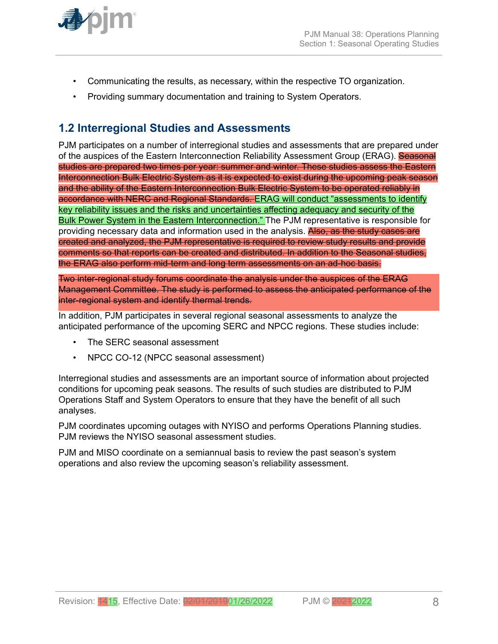<span id="page-7-0"></span>

- Communicating the results, as necessary, within the respective TO organization.
- Providing summary documentation and training to System Operators.

# **1.2 Interregional Studies and Assessments**

PJM participates on a number of interregional studies and assessments that are prepared under of the auspices of the Eastern Interconnection Reliability Assessment Group (ERAG). Seasonal studies are prepared two times per year: summer and winter. These studies assess the Eastern Interconnection Bulk Electric System as it is expected to exist during the upcoming peak season and the ability of the Eastern Interconnection Bulk Electric System to be operated reliably in accordance with NERC and Regional Standards. ERAG will conduct "assessments to identify key reliability issues and the risks and uncertainties affecting adequacy and security of the Bulk Power System in the Eastern Interconnection." The PJM representative is responsible for providing necessary data and information used in the analysis. Also, as the study cases are created and analyzed, the PJM representative is required to review study results and provide comments so that reports can be created and distributed. In addition to the Seasonal studies, the ERAG also perform mid-term and long term assessments on an ad-hoc basis.

Two inter-regional study forums coordinate the analysis under the auspices of the ERAG Management Committee. The study is performed to assess the anticipated performance of the inter-regional system and identify thermal trends.

In addition, PJM participates in several regional seasonal assessments to analyze the anticipated performance of the upcoming SERC and NPCC regions. These studies include:

- The SERC seasonal assessment
- NPCC CO-12 (NPCC seasonal assessment)

Interregional studies and assessments are an important source of information about projected conditions for upcoming peak seasons. The results of such studies are distributed to PJM Operations Staff and System Operators to ensure that they have the benefit of all such analyses.

PJM coordinates upcoming outages with NYISO and performs Operations Planning studies. PJM reviews the NYISO seasonal assessment studies.

PJM and MISO coordinate on a semiannual basis to review the past season's system operations and also review the upcoming season's reliability assessment.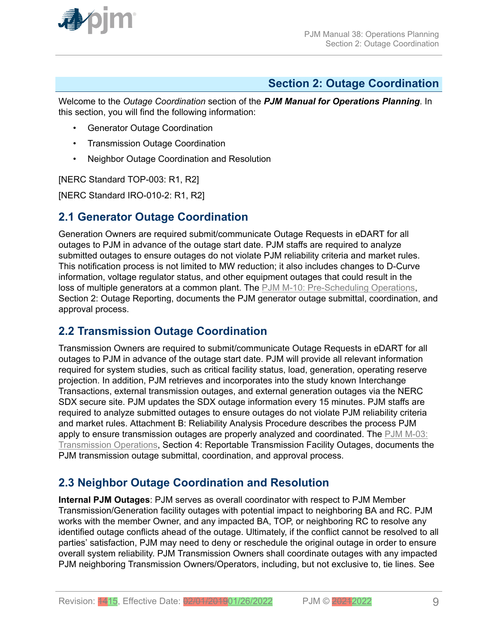<span id="page-8-0"></span>

# **Section 2: Outage Coordination**

Welcome to the *Outage Coordination* section of the *PJM Manual for Operations Planning*. In this section, you will find the following information:

- Generator Outage Coordination
- Transmission Outage Coordination
- Neighbor Outage Coordination and Resolution

[NERC Standard TOP-003: R1, R2]

[NERC Standard IRO-010-2: R1, R2]

# **2.1 Generator Outage Coordination**

Generation Owners are required submit/communicate Outage Requests in eDART for all outages to PJM in advance of the outage start date. PJM staffs are required to analyze submitted outages to ensure outages do not violate PJM reliability criteria and market rules. This notification process is not limited to MW reduction; it also includes changes to D-Curve information, voltage regulator status, and other equipment outages that could result in the loss of multiple generators at a common plant. The [PJM M-10: Pre-Scheduling Operations](http://www.pjm.com/~/media/documents/manuals/m10.ashx), Section 2: Outage Reporting, documents the PJM generator outage submittal, coordination, and approval process.

# **2.2 Transmission Outage Coordination**

Transmission Owners are required to submit/communicate Outage Requests in eDART for all outages to PJM in advance of the outage start date. PJM will provide all relevant information required for system studies, such as critical facility status, load, generation, operating reserve projection. In addition, PJM retrieves and incorporates into the study known Interchange Transactions, external transmission outages, and external generation outages via the NERC SDX secure site. PJM updates the SDX outage information every 15 minutes. PJM staffs are required to analyze submitted outages to ensure outages do not violate PJM reliability criteria and market rules. Attachment B: Reliability Analysis Procedure describes the process PJM apply to ensure transmission outages are properly analyzed and coordinated. The [PJM M-03:](http://www.pjm.com/~/media/documents/manuals/m03.ashx) [Transmission Operations,](http://www.pjm.com/~/media/documents/manuals/m03.ashx) Section 4: Reportable Transmission Facility Outages, documents the PJM transmission outage submittal, coordination, and approval process.

# **2.3 Neighbor Outage Coordination and Resolution**

**Internal PJM Outages**: PJM serves as overall coordinator with respect to PJM Member Transmission/Generation facility outages with potential impact to neighboring BA and RC. PJM works with the member Owner, and any impacted BA, TOP, or neighboring RC to resolve any identified outage conflicts ahead of the outage. Ultimately, if the conflict cannot be resolved to all parties' satisfaction, PJM may need to deny or reschedule the original outage in order to ensure overall system reliability. PJM Transmission Owners shall coordinate outages with any impacted PJM neighboring Transmission Owners/Operators, including, but not exclusive to, tie lines. See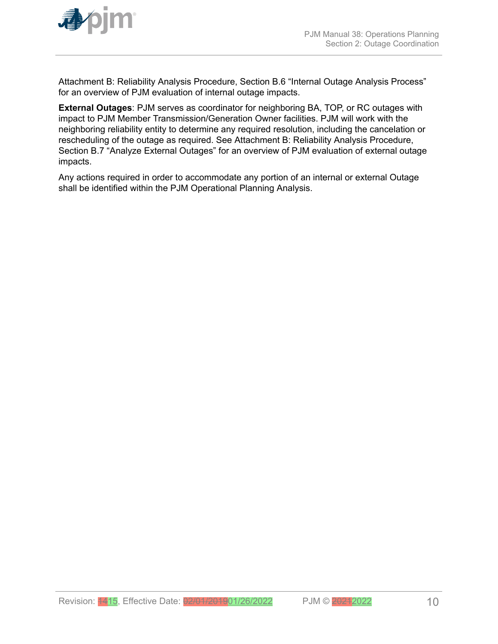

Attachment B: Reliability Analysis Procedure, Section B.6 "Internal Outage Analysis Process" for an overview of PJM evaluation of internal outage impacts.

**External Outages**: PJM serves as coordinator for neighboring BA, TOP, or RC outages with impact to PJM Member Transmission/Generation Owner facilities. PJM will work with the neighboring reliability entity to determine any required resolution, including the cancelation or rescheduling of the outage as required. See Attachment B: Reliability Analysis Procedure, Section B.7 "Analyze External Outages" for an overview of PJM evaluation of external outage impacts.

Any actions required in order to accommodate any portion of an internal or external Outage shall be identified within the PJM Operational Planning Analysis.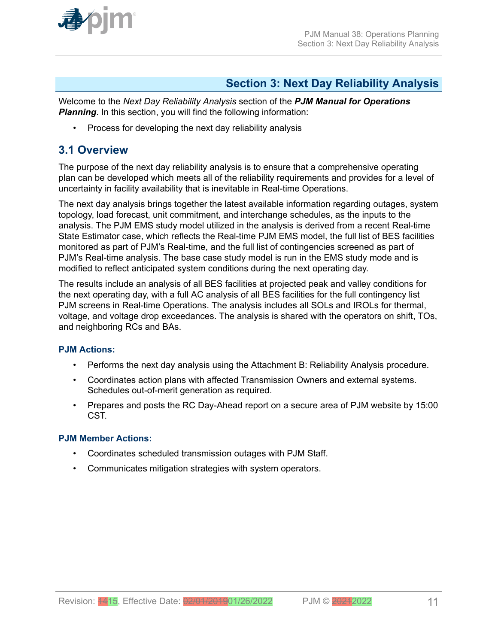<span id="page-10-0"></span>

# **Section 3: Next Day Reliability Analysis**

Welcome to the *Next Day Reliability Analysis* section of the *PJM Manual for Operations* **Planning**. In this section, you will find the following information:

• Process for developing the next day reliability analysis

# **3.1 Overview**

The purpose of the next day reliability analysis is to ensure that a comprehensive operating plan can be developed which meets all of the reliability requirements and provides for a level of uncertainty in facility availability that is inevitable in Real-time Operations.

The next day analysis brings together the latest available information regarding outages, system topology, load forecast, unit commitment, and interchange schedules, as the inputs to the analysis. The PJM EMS study model utilized in the analysis is derived from a recent Real-time State Estimator case, which reflects the Real-time PJM EMS model, the full list of BES facilities monitored as part of PJM's Real-time, and the full list of contingencies screened as part of PJM's Real-time analysis. The base case study model is run in the EMS study mode and is modified to reflect anticipated system conditions during the next operating day.

The results include an analysis of all BES facilities at projected peak and valley conditions for the next operating day, with a full AC analysis of all BES facilities for the full contingency list PJM screens in Real-time Operations. The analysis includes all SOLs and IROLs for thermal, voltage, and voltage drop exceedances. The analysis is shared with the operators on shift, TOs, and neighboring RCs and BAs.

# **PJM Actions:**

- Performs the next day analysis using the Attachment B: Reliability Analysis procedure.
- Coordinates action plans with affected Transmission Owners and external systems. Schedules out-of-merit generation as required.
- Prepares and posts the RC Day-Ahead report on a secure area of PJM website by 15:00 CST.

# **PJM Member Actions:**

- Coordinates scheduled transmission outages with PJM Staff.
- Communicates mitigation strategies with system operators.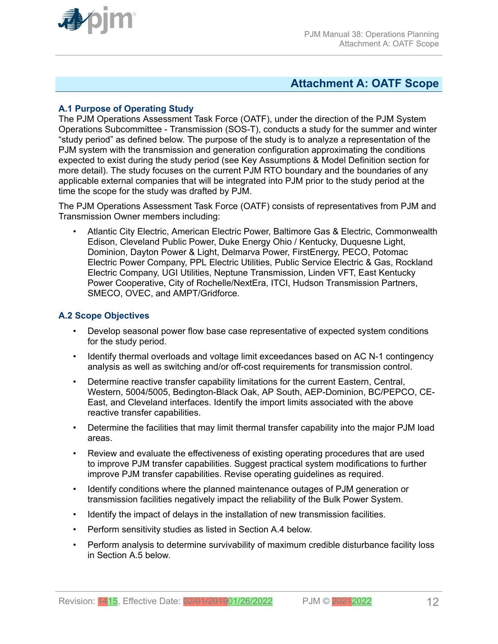<span id="page-11-0"></span>

# **Attachment A: OATF Scope**

# **A.1 Purpose of Operating Study**

The PJM Operations Assessment Task Force (OATF), under the direction of the PJM System Operations Subcommittee - Transmission (SOS-T), conducts a study for the summer and winter "study period" as defined below. The purpose of the study is to analyze a representation of the PJM system with the transmission and generation configuration approximating the conditions expected to exist during the study period (see Key Assumptions & Model Definition section for more detail). The study focuses on the current PJM RTO boundary and the boundaries of any applicable external companies that will be integrated into PJM prior to the study period at the time the scope for the study was drafted by PJM.

The PJM Operations Assessment Task Force (OATF) consists of representatives from PJM and Transmission Owner members including:

• Atlantic City Electric, American Electric Power, Baltimore Gas & Electric, Commonwealth Edison, Cleveland Public Power, Duke Energy Ohio / Kentucky, Duquesne Light, Dominion, Dayton Power & Light, Delmarva Power, FirstEnergy, PECO, Potomac Electric Power Company, PPL Electric Utilities, Public Service Electric & Gas, Rockland Electric Company, UGI Utilities, Neptune Transmission, Linden VFT, East Kentucky Power Cooperative, City of Rochelle/NextEra, ITCI, Hudson Transmission Partners, SMECO, OVEC, and AMPT/Gridforce.

### **A.2 Scope Objectives**

- Develop seasonal power flow base case representative of expected system conditions for the study period.
- Identify thermal overloads and voltage limit exceedances based on AC N-1 contingency analysis as well as switching and/or off-cost requirements for transmission control.
- Determine reactive transfer capability limitations for the current Eastern, Central, Western, 5004/5005, Bedington-Black Oak, AP South, AEP-Dominion, BC/PEPCO, CE-East, and Cleveland interfaces. Identify the import limits associated with the above reactive transfer capabilities.
- Determine the facilities that may limit thermal transfer capability into the major PJM load areas.
- Review and evaluate the effectiveness of existing operating procedures that are used to improve PJM transfer capabilities. Suggest practical system modifications to further improve PJM transfer capabilities. Revise operating guidelines as required.
- Identify conditions where the planned maintenance outages of PJM generation or transmission facilities negatively impact the reliability of the Bulk Power System.
- Identify the impact of delays in the installation of new transmission facilities.
- Perform sensitivity studies as listed in Section A.4 below.
- Perform analysis to determine survivability of maximum credible disturbance facility loss in Section A.5 below.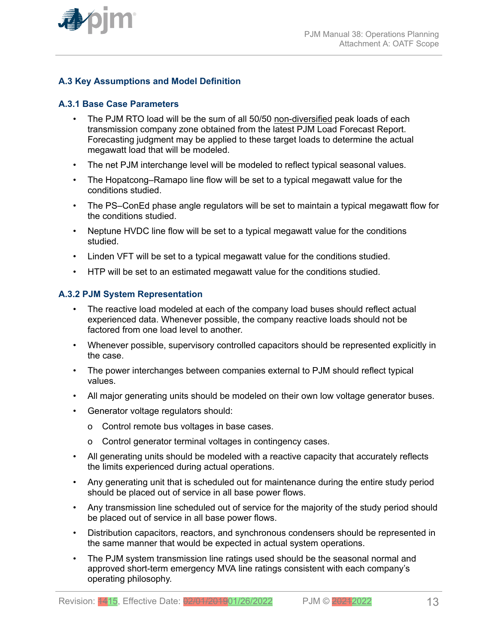

# **A.3 Key Assumptions and Model Definition**

### **A.3.1 Base Case Parameters**

- The PJM RTO load will be the sum of all 50/50 non-diversified peak loads of each transmission company zone obtained from the latest PJM Load Forecast Report. Forecasting judgment may be applied to these target loads to determine the actual megawatt load that will be modeled.
- The net PJM interchange level will be modeled to reflect typical seasonal values.
- The Hopatcong–Ramapo line flow will be set to a typical megawatt value for the conditions studied.
- The PS–ConEd phase angle regulators will be set to maintain a typical megawatt flow for the conditions studied.
- Neptune HVDC line flow will be set to a typical megawatt value for the conditions studied.
- Linden VFT will be set to a typical megawatt value for the conditions studied.
- HTP will be set to an estimated megawatt value for the conditions studied.

### **A.3.2 PJM System Representation**

- The reactive load modeled at each of the company load buses should reflect actual experienced data. Whenever possible, the company reactive loads should not be factored from one load level to another.
- Whenever possible, supervisory controlled capacitors should be represented explicitly in the case.
- The power interchanges between companies external to PJM should reflect typical values.
- All major generating units should be modeled on their own low voltage generator buses.
- Generator voltage regulators should:
	- o Control remote bus voltages in base cases.
	- o Control generator terminal voltages in contingency cases.
- All generating units should be modeled with a reactive capacity that accurately reflects the limits experienced during actual operations.
- Any generating unit that is scheduled out for maintenance during the entire study period should be placed out of service in all base power flows.
- Any transmission line scheduled out of service for the majority of the study period should be placed out of service in all base power flows.
- Distribution capacitors, reactors, and synchronous condensers should be represented in the same manner that would be expected in actual system operations.
- The PJM system transmission line ratings used should be the seasonal normal and approved short-term emergency MVA line ratings consistent with each company's operating philosophy.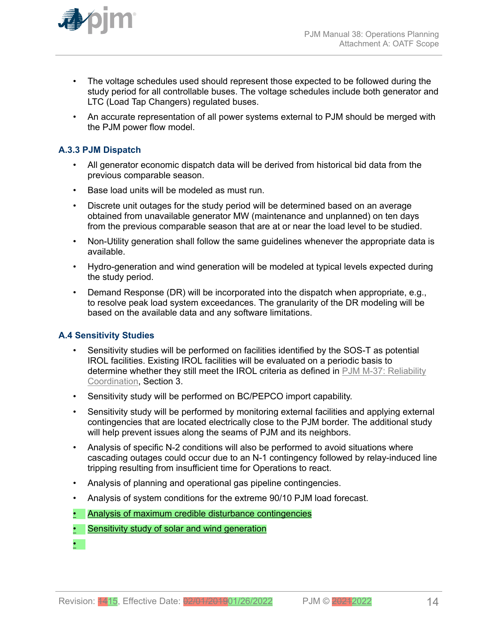

- The voltage schedules used should represent those expected to be followed during the study period for all controllable buses. The voltage schedules include both generator and LTC (Load Tap Changers) regulated buses.
- An accurate representation of all power systems external to PJM should be merged with the PJM power flow model.

# **A.3.3 PJM Dispatch**

- All generator economic dispatch data will be derived from historical bid data from the previous comparable season.
- Base load units will be modeled as must run.
- Discrete unit outages for the study period will be determined based on an average obtained from unavailable generator MW (maintenance and unplanned) on ten days from the previous comparable season that are at or near the load level to be studied.
- Non-Utility generation shall follow the same guidelines whenever the appropriate data is available.
- Hydro-generation and wind generation will be modeled at typical levels expected during the study period.
- Demand Response (DR) will be incorporated into the dispatch when appropriate, e.g., to resolve peak load system exceedances. The granularity of the DR modeling will be based on the available data and any software limitations.

# **A.4 Sensitivity Studies**

- Sensitivity studies will be performed on facilities identified by the SOS-T as potential IROL facilities. Existing IROL facilities will be evaluated on a periodic basis to determine whether they still meet the IROL criteria as defined in [PJM M-37: Reliability](http://pjm.com/~/media/documents/manuals/m37.ashx) [Coordination](http://pjm.com/~/media/documents/manuals/m37.ashx), Section 3.
- Sensitivity study will be performed on BC/PEPCO import capability.
- Sensitivity study will be performed by monitoring external facilities and applying external contingencies that are located electrically close to the PJM border. The additional study will help prevent issues along the seams of PJM and its neighbors.
- Analysis of specific N-2 conditions will also be performed to avoid situations where cascading outages could occur due to an N-1 contingency followed by relay-induced line tripping resulting from insufficient time for Operations to react.
- Analysis of planning and operational gas pipeline contingencies.
- Analysis of system conditions for the extreme 90/10 PJM load forecast.
- Analysis of maximum credible disturbance contingencies
- Sensitivity study of solar and wind generation
- •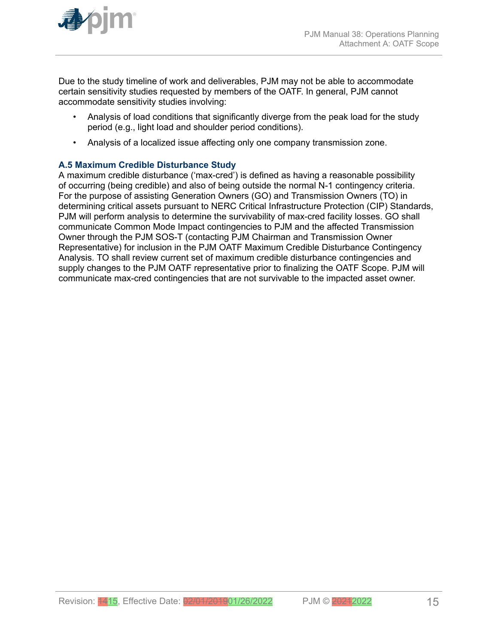

Due to the study timeline of work and deliverables, PJM may not be able to accommodate certain sensitivity studies requested by members of the OATF. In general, PJM cannot accommodate sensitivity studies involving:

- Analysis of load conditions that significantly diverge from the peak load for the study period (e.g., light load and shoulder period conditions).
- Analysis of a localized issue affecting only one company transmission zone.

# **A.5 Maximum Credible Disturbance Study**

A maximum credible disturbance ('max-cred') is defined as having a reasonable possibility of occurring (being credible) and also of being outside the normal N-1 contingency criteria. For the purpose of assisting Generation Owners (GO) and Transmission Owners (TO) in determining critical assets pursuant to NERC Critical Infrastructure Protection (CIP) Standards, PJM will perform analysis to determine the survivability of max-cred facility losses. GO shall communicate Common Mode Impact contingencies to PJM and the affected Transmission Owner through the PJM SOS-T (contacting PJM Chairman and Transmission Owner Representative) for inclusion in the PJM OATF Maximum Credible Disturbance Contingency Analysis. TO shall review current set of maximum credible disturbance contingencies and supply changes to the PJM OATF representative prior to finalizing the OATF Scope. PJM will communicate max-cred contingencies that are not survivable to the impacted asset owner.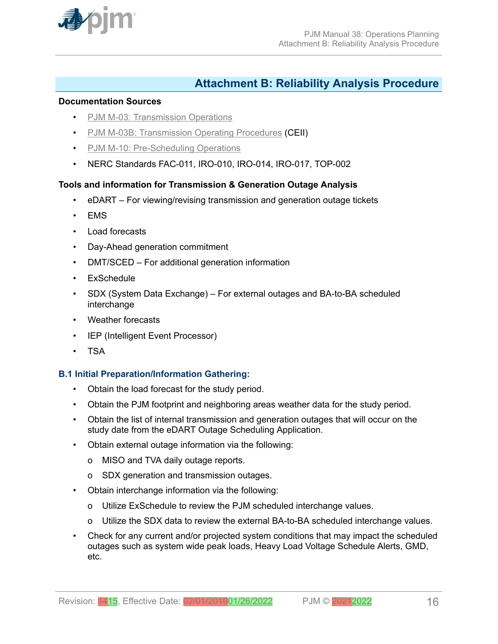<span id="page-15-0"></span>

# **Attachment B: Reliability Analysis Procedure**

#### **Documentation Sources**

- [PJM M-03: Transmission Operations](http://www.pjm.com/~/media/documents/manuals/m03.ashx)
- [PJM M-03B: Transmission Operating Procedures](https://www.pjm.com/library/manuals/private-m03.aspx) (CEII)
- [PJM M-10: Pre-Scheduling Operations](http://www.pjm.com/~/media/documents/manuals/m10.ashx)
- NERC Standards FAC-011, IRO-010, IRO-014, IRO-017, TOP-002

# **Tools and information for Transmission & Generation Outage Analysis**

- eDART For viewing/revising transmission and generation outage tickets
- EMS
- Load forecasts
- Day-Ahead generation commitment
- DMT/SCED For additional generation information
- ExSchedule
- SDX (System Data Exchange) For external outages and BA-to-BA scheduled interchange
- Weather forecasts
- IEP (Intelligent Event Processor)
- TSA

# **B.1 Initial Preparation/Information Gathering:**

- Obtain the load forecast for the study period.
- Obtain the PJM footprint and neighboring areas weather data for the study period.
- Obtain the list of internal transmission and generation outages that will occur on the study date from the eDART Outage Scheduling Application.
- Obtain external outage information via the following:
	- o MISO and TVA daily outage reports.
	- o SDX generation and transmission outages.
- Obtain interchange information via the following:
	- o Utilize ExSchedule to review the PJM scheduled interchange values.
	- o Utilize the SDX data to review the external BA-to-BA scheduled interchange values.
- Check for any current and/or projected system conditions that may impact the scheduled outages such as system wide peak loads, Heavy Load Voltage Schedule Alerts, GMD, etc.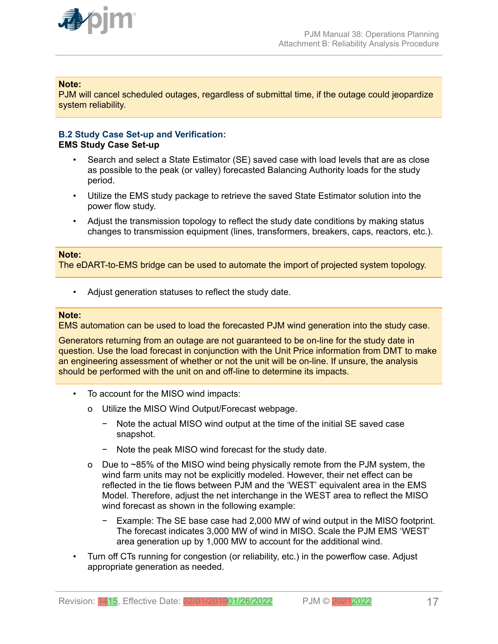

### **Note:**

PJM will cancel scheduled outages, regardless of submittal time, if the outage could jeopardize system reliability.

#### **B.2 Study Case Set-up and Verification: EMS Study Case Set-up**

- Search and select a State Estimator (SE) saved case with load levels that are as close as possible to the peak (or valley) forecasted Balancing Authority loads for the study period.
- Utilize the EMS study package to retrieve the saved State Estimator solution into the power flow study.
- Adjust the transmission topology to reflect the study date conditions by making status changes to transmission equipment (lines, transformers, breakers, caps, reactors, etc.).

#### **Note:**

The eDART-to-EMS bridge can be used to automate the import of projected system topology.

• Adjust generation statuses to reflect the study date.

#### **Note:**

EMS automation can be used to load the forecasted PJM wind generation into the study case.

Generators returning from an outage are not guaranteed to be on-line for the study date in question. Use the load forecast in conjunction with the Unit Price information from DMT to make an engineering assessment of whether or not the unit will be on-line. If unsure, the analysis should be performed with the unit on and off-line to determine its impacts.

- To account for the MISO wind impacts:
	- o Utilize the MISO Wind Output/Forecast webpage.
		- − Note the actual MISO wind output at the time of the initial SE saved case snapshot.
		- − Note the peak MISO wind forecast for the study date.
	- o Due to ~85% of the MISO wind being physically remote from the PJM system, the wind farm units may not be explicitly modeled. However, their net effect can be reflected in the tie flows between PJM and the 'WEST' equivalent area in the EMS Model. Therefore, adjust the net interchange in the WEST area to reflect the MISO wind forecast as shown in the following example:
		- − Example: The SE base case had 2,000 MW of wind output in the MISO footprint. The forecast indicates 3,000 MW of wind in MISO. Scale the PJM EMS 'WEST' area generation up by 1,000 MW to account for the additional wind.
- Turn off CTs running for congestion (or reliability, etc.) in the powerflow case. Adjust appropriate generation as needed.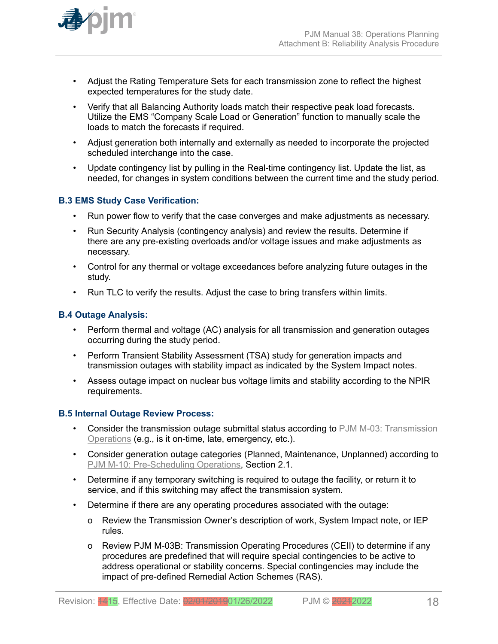

- Adjust the Rating Temperature Sets for each transmission zone to reflect the highest expected temperatures for the study date.
- Verify that all Balancing Authority loads match their respective peak load forecasts. Utilize the EMS "Company Scale Load or Generation" function to manually scale the loads to match the forecasts if required.
- Adjust generation both internally and externally as needed to incorporate the projected scheduled interchange into the case.
- Update contingency list by pulling in the Real-time contingency list. Update the list, as needed, for changes in system conditions between the current time and the study period.

# **B.3 EMS Study Case Verification:**

- Run power flow to verify that the case converges and make adjustments as necessary.
- Run Security Analysis (contingency analysis) and review the results. Determine if there are any pre-existing overloads and/or voltage issues and make adjustments as necessary.
- Control for any thermal or voltage exceedances before analyzing future outages in the study.
- Run TLC to verify the results. Adjust the case to bring transfers within limits.

### **B.4 Outage Analysis:**

- Perform thermal and voltage (AC) analysis for all transmission and generation outages occurring during the study period.
- Perform Transient Stability Assessment (TSA) study for generation impacts and transmission outages with stability impact as indicated by the System Impact notes.
- Assess outage impact on nuclear bus voltage limits and stability according to the NPIR requirements.

#### **B.5 Internal Outage Review Process:**

- Consider the transmission outage submittal status according to [PJM M-03: Transmission](http://www.pjm.com/~/media/documents/manuals/m03.ashx) [Operations](http://www.pjm.com/~/media/documents/manuals/m03.ashx) (e.g., is it on-time, late, emergency, etc.).
- Consider generation outage categories (Planned, Maintenance, Unplanned) according to [PJM M-10: Pre-Scheduling Operations](http://www.pjm.com/~/media/documents/manuals/m10.ashx), Section 2.1.
- Determine if any temporary switching is required to outage the facility, or return it to service, and if this switching may affect the transmission system.
- Determine if there are any operating procedures associated with the outage:
	- o Review the Transmission Owner's description of work, System Impact note, or IEP rules.
	- o Review PJM M-03B: Transmission Operating Procedures (CEII) to determine if any procedures are predefined that will require special contingencies to be active to address operational or stability concerns. Special contingencies may include the impact of pre-defined Remedial Action Schemes (RAS).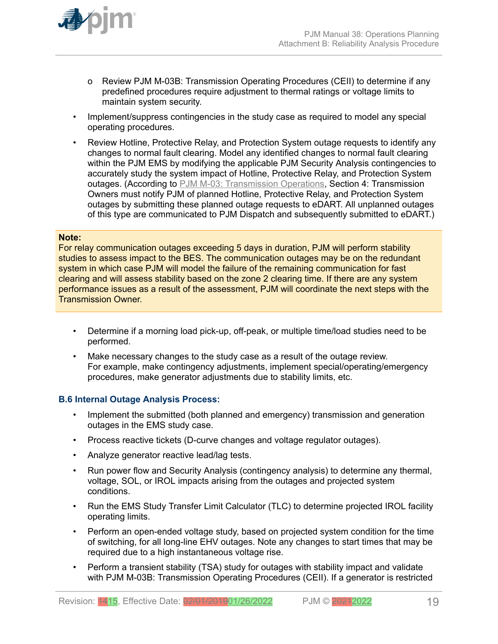

- o Review PJM M-03B: Transmission Operating Procedures (CEII) to determine if any predefined procedures require adjustment to thermal ratings or voltage limits to maintain system security.
- Implement/suppress contingencies in the study case as required to model any special operating procedures.
- Review Hotline, Protective Relay, and Protection System outage requests to identify any changes to normal fault clearing. Model any identified changes to normal fault clearing within the PJM EMS by modifying the applicable PJM Security Analysis contingencies to accurately study the system impact of Hotline, Protective Relay, and Protection System outages. (According to [PJM M-03: Transmission Operations,](http://www.pjm.com/~/media/documents/manuals/m03.ashx) Section 4: Transmission Owners must notify PJM of planned Hotline, Protective Relay, and Protection System outages by submitting these planned outage requests to eDART. All unplanned outages of this type are communicated to PJM Dispatch and subsequently submitted to eDART.)

#### **Note:**

For relay communication outages exceeding 5 days in duration, PJM will perform stability studies to assess impact to the BES. The communication outages may be on the redundant system in which case PJM will model the failure of the remaining communication for fast clearing and will assess stability based on the zone 2 clearing time. If there are any system performance issues as a result of the assessment, PJM will coordinate the next steps with the Transmission Owner.

- Determine if a morning load pick-up, off-peak, or multiple time/load studies need to be performed.
- Make necessary changes to the study case as a result of the outage review. For example, make contingency adjustments, implement special/operating/emergency procedures, make generator adjustments due to stability limits, etc.

#### **B.6 Internal Outage Analysis Process:**

- Implement the submitted (both planned and emergency) transmission and generation outages in the EMS study case.
- Process reactive tickets (D-curve changes and voltage regulator outages).
- Analyze generator reactive lead/lag tests.
- Run power flow and Security Analysis (contingency analysis) to determine any thermal, voltage, SOL, or IROL impacts arising from the outages and projected system conditions.
- Run the EMS Study Transfer Limit Calculator (TLC) to determine projected IROL facility operating limits.
- Perform an open-ended voltage study, based on projected system condition for the time of switching, for all long-line EHV outages. Note any changes to start times that may be required due to a high instantaneous voltage rise.
- Perform a transient stability (TSA) study for outages with stability impact and validate with PJM M-03B: Transmission Operating Procedures (CEII). If a generator is restricted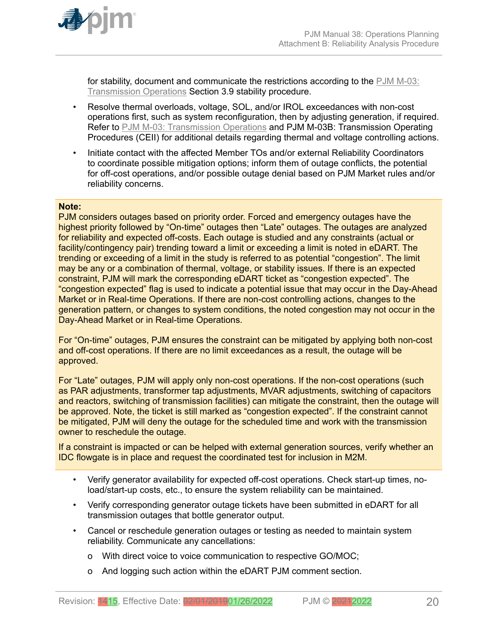

for stability, document and communicate the restrictions according to the [PJM M-03:](http://www.pjm.com/~/media/documents/manuals/m03.ashx) [Transmission Operations](http://www.pjm.com/~/media/documents/manuals/m03.ashx) Section 3.9 stability procedure.

- Resolve thermal overloads, voltage, SOL, and/or IROL exceedances with non-cost operations first, such as system reconfiguration, then by adjusting generation, if required. Refer to [PJM M-03: Transmission Operations](http://www.pjm.com/~/media/documents/manuals/m03.ashx) and PJM M-03B: Transmission Operating Procedures (CEII) for additional details regarding thermal and voltage controlling actions.
- Initiate contact with the affected Member TOs and/or external Reliability Coordinators to coordinate possible mitigation options; inform them of outage conflicts, the potential for off-cost operations, and/or possible outage denial based on PJM Market rules and/or reliability concerns.

#### **Note:**

PJM considers outages based on priority order. Forced and emergency outages have the highest priority followed by "On-time" outages then "Late" outages. The outages are analyzed for reliability and expected off-costs. Each outage is studied and any constraints (actual or facility/contingency pair) trending toward a limit or exceeding a limit is noted in eDART. The trending or exceeding of a limit in the study is referred to as potential "congestion". The limit may be any or a combination of thermal, voltage, or stability issues. If there is an expected constraint, PJM will mark the corresponding eDART ticket as "congestion expected". The "congestion expected" flag is used to indicate a potential issue that may occur in the Day-Ahead Market or in Real-time Operations. If there are non-cost controlling actions, changes to the generation pattern, or changes to system conditions, the noted congestion may not occur in the Day-Ahead Market or in Real-time Operations.

For "On-time" outages, PJM ensures the constraint can be mitigated by applying both non-cost and off-cost operations. If there are no limit exceedances as a result, the outage will be approved.

For "Late" outages, PJM will apply only non-cost operations. If the non-cost operations (such as PAR adjustments, transformer tap adjustments, MVAR adjustments, switching of capacitors and reactors, switching of transmission facilities) can mitigate the constraint, then the outage will be approved. Note, the ticket is still marked as "congestion expected". If the constraint cannot be mitigated, PJM will deny the outage for the scheduled time and work with the transmission owner to reschedule the outage.

If a constraint is impacted or can be helped with external generation sources, verify whether an IDC flowgate is in place and request the coordinated test for inclusion in M2M.

- Verify generator availability for expected off-cost operations. Check start-up times, noload/start-up costs, etc., to ensure the system reliability can be maintained.
- Verify corresponding generator outage tickets have been submitted in eDART for all transmission outages that bottle generator output.
- Cancel or reschedule generation outages or testing as needed to maintain system reliability. Communicate any cancellations:
	- o With direct voice to voice communication to respective GO/MOC;
	- o And logging such action within the eDART PJM comment section.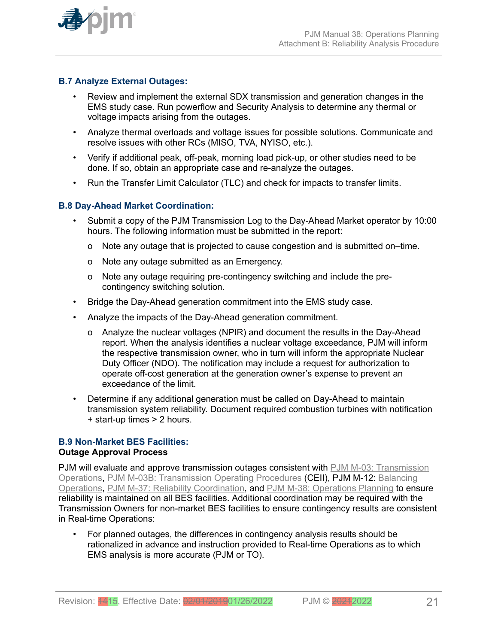

# **B.7 Analyze External Outages:**

- Review and implement the external SDX transmission and generation changes in the EMS study case. Run powerflow and Security Analysis to determine any thermal or voltage impacts arising from the outages.
- Analyze thermal overloads and voltage issues for possible solutions. Communicate and resolve issues with other RCs (MISO, TVA, NYISO, etc.).
- Verify if additional peak, off-peak, morning load pick-up, or other studies need to be done. If so, obtain an appropriate case and re-analyze the outages.
- Run the Transfer Limit Calculator (TLC) and check for impacts to transfer limits.

# **B.8 Day-Ahead Market Coordination:**

- Submit a copy of the PJM Transmission Log to the Day-Ahead Market operator by 10:00 hours. The following information must be submitted in the report:
	- o Note any outage that is projected to cause congestion and is submitted on–time.
	- o Note any outage submitted as an Emergency.
	- o Note any outage requiring pre-contingency switching and include the precontingency switching solution.
- Bridge the Day-Ahead generation commitment into the EMS study case.
- Analyze the impacts of the Day-Ahead generation commitment.
	- o Analyze the nuclear voltages (NPIR) and document the results in the Day-Ahead report. When the analysis identifies a nuclear voltage exceedance, PJM will inform the respective transmission owner, who in turn will inform the appropriate Nuclear Duty Officer (NDO). The notification may include a request for authorization to operate off-cost generation at the generation owner's expense to prevent an exceedance of the limit.
- Determine if any additional generation must be called on Day-Ahead to maintain transmission system reliability. Document required combustion turbines with notification + start-up times > 2 hours.

#### **B.9 Non-Market BES Facilities: Outage Approval Process**

PJM will evaluate and approve transmission outages consistent with [PJM M-03: Transmission](http://www.pjm.com/~/media/documents/manuals/m03.ashx) [Operations,](http://www.pjm.com/~/media/documents/manuals/m03.ashx) [PJM M-03B: Transmission Operating Procedures](https://www.pjm.com/library/manuals/private-m03.aspx) (CEII), PJM M-12: [Balancing](http://pjm.com/~/media/documents/manuals/m12.ashx) [Operations,](http://pjm.com/~/media/documents/manuals/m12.ashx) [PJM M-37: Reliability Coordination,](http://pjm.com/~/media/documents/manuals/m37.ashx) and [PJM M-38: Operations Planning](http://www.pjm.com/~/media/documents/manuals/m38.ashx) to ensure reliability is maintained on all BES facilities. Additional coordination may be required with the Transmission Owners for non-market BES facilities to ensure contingency results are consistent in Real-time Operations:

• For planned outages, the differences in contingency analysis results should be rationalized in advance and instruction provided to Real-time Operations as to which EMS analysis is more accurate (PJM or TO).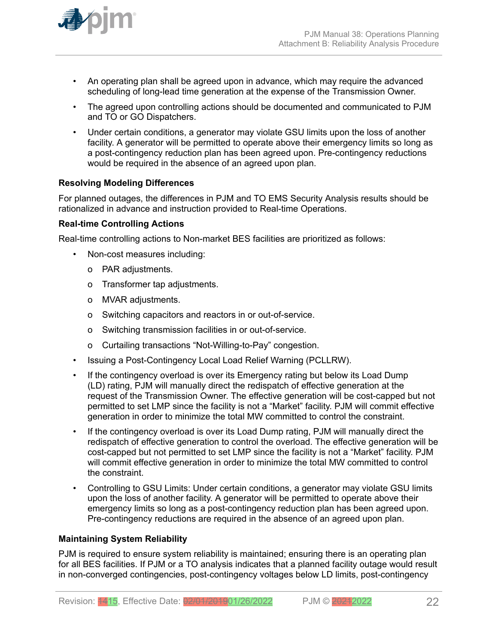

- An operating plan shall be agreed upon in advance, which may require the advanced scheduling of long-lead time generation at the expense of the Transmission Owner.
- The agreed upon controlling actions should be documented and communicated to PJM and TO or GO Dispatchers.
- Under certain conditions, a generator may violate GSU limits upon the loss of another facility. A generator will be permitted to operate above their emergency limits so long as a post-contingency reduction plan has been agreed upon. Pre-contingency reductions would be required in the absence of an agreed upon plan.

# **Resolving Modeling Differences**

For planned outages, the differences in PJM and TO EMS Security Analysis results should be rationalized in advance and instruction provided to Real-time Operations.

### **Real-time Controlling Actions**

Real-time controlling actions to Non-market BES facilities are prioritized as follows:

- Non-cost measures including:
	- o PAR adjustments.
	- o Transformer tap adjustments.
	- o MVAR adjustments.
	- o Switching capacitors and reactors in or out-of-service.
	- o Switching transmission facilities in or out-of-service.
	- o Curtailing transactions "Not-Willing-to-Pay" congestion.
- Issuing a Post-Contingency Local Load Relief Warning (PCLLRW).
- If the contingency overload is over its Emergency rating but below its Load Dump (LD) rating, PJM will manually direct the redispatch of effective generation at the request of the Transmission Owner. The effective generation will be cost-capped but not permitted to set LMP since the facility is not a "Market" facility. PJM will commit effective generation in order to minimize the total MW committed to control the constraint.
- If the contingency overload is over its Load Dump rating, PJM will manually direct the redispatch of effective generation to control the overload. The effective generation will be cost-capped but not permitted to set LMP since the facility is not a "Market" facility. PJM will commit effective generation in order to minimize the total MW committed to control the constraint.
- Controlling to GSU Limits: Under certain conditions, a generator may violate GSU limits upon the loss of another facility. A generator will be permitted to operate above their emergency limits so long as a post-contingency reduction plan has been agreed upon. Pre-contingency reductions are required in the absence of an agreed upon plan.

# **Maintaining System Reliability**

PJM is required to ensure system reliability is maintained; ensuring there is an operating plan for all BES facilities. If PJM or a TO analysis indicates that a planned facility outage would result in non-converged contingencies, post-contingency voltages below LD limits, post-contingency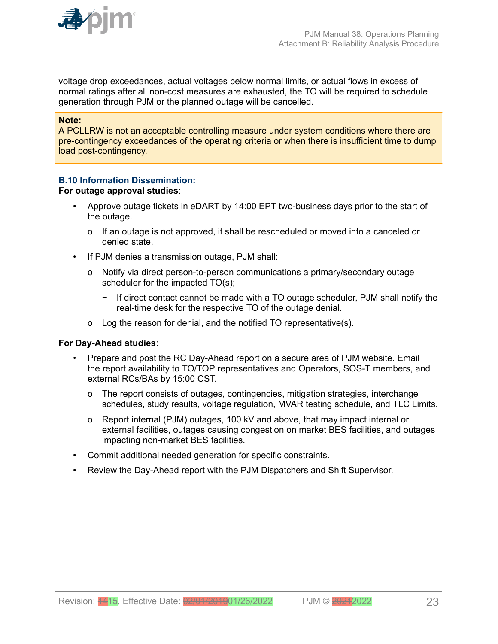

voltage drop exceedances, actual voltages below normal limits, or actual flows in excess of normal ratings after all non-cost measures are exhausted, the TO will be required to schedule generation through PJM or the planned outage will be cancelled.

#### **Note:**

A PCLLRW is not an acceptable controlling measure under system conditions where there are pre-contingency exceedances of the operating criteria or when there is insufficient time to dump load post-contingency.

### **B.10 Information Dissemination:**

#### **For outage approval studies**:

- Approve outage tickets in eDART by 14:00 EPT two-business days prior to the start of the outage.
	- o If an outage is not approved, it shall be rescheduled or moved into a canceled or denied state.
- If PJM denies a transmission outage, PJM shall:
	- o Notify via direct person-to-person communications a primary/secondary outage scheduler for the impacted TO(s);
		- − If direct contact cannot be made with a TO outage scheduler, PJM shall notify the real-time desk for the respective TO of the outage denial.
	- o Log the reason for denial, and the notified TO representative(s).

#### **For Day-Ahead studies**:

- Prepare and post the RC Day-Ahead report on a secure area of PJM website. Email the report availability to TO/TOP representatives and Operators, SOS-T members, and external RCs/BAs by 15:00 CST.
	- o The report consists of outages, contingencies, mitigation strategies, interchange schedules, study results, voltage regulation, MVAR testing schedule, and TLC Limits.
	- o Report internal (PJM) outages, 100 kV and above, that may impact internal or external facilities, outages causing congestion on market BES facilities, and outages impacting non-market BES facilities.
- Commit additional needed generation for specific constraints.
- Review the Day-Ahead report with the PJM Dispatchers and Shift Supervisor.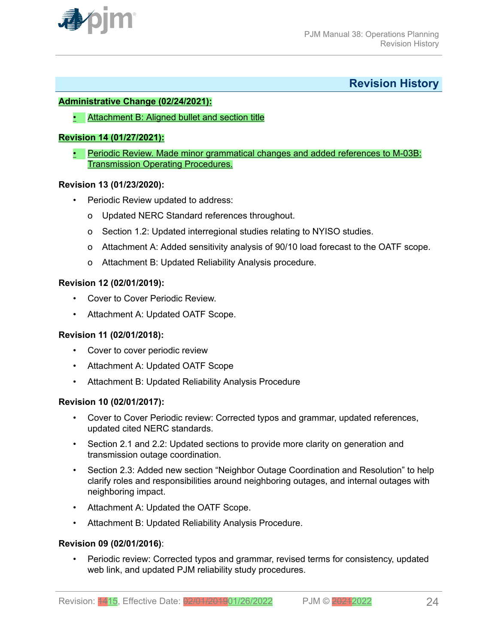<span id="page-23-0"></span>

**Revision History**

### **Administrative Change (02/24/2021):**

• Attachment B: Aligned bullet and section title

### **Revision 14 (01/27/2021):**

• Periodic Review. Made minor grammatical changes and added references to M-03B: Transmission Operating Procedures.

#### **Revision 13 (01/23/2020):**

- Periodic Review updated to address:
	- o Updated NERC Standard references throughout.
	- o Section 1.2: Updated interregional studies relating to NYISO studies.
	- o Attachment A: Added sensitivity analysis of 90/10 load forecast to the OATF scope.
	- o Attachment B: Updated Reliability Analysis procedure.

### **Revision 12 (02/01/2019):**

- Cover to Cover Periodic Review.
- Attachment A: Updated OATF Scope.

# **Revision 11 (02/01/2018):**

- Cover to cover periodic review
- Attachment A: Updated OATF Scope
- Attachment B: Updated Reliability Analysis Procedure

# **Revision 10 (02/01/2017):**

- Cover to Cover Periodic review: Corrected typos and grammar, updated references, updated cited NERC standards.
- Section 2.1 and 2.2: Updated sections to provide more clarity on generation and transmission outage coordination.
- Section 2.3: Added new section "Neighbor Outage Coordination and Resolution" to help clarify roles and responsibilities around neighboring outages, and internal outages with neighboring impact.
- Attachment A: Updated the OATF Scope.
- Attachment B: Updated Reliability Analysis Procedure.

#### **Revision 09 (02/01/2016)**:

• Periodic review: Corrected typos and grammar, revised terms for consistency, updated web link, and updated PJM reliability study procedures.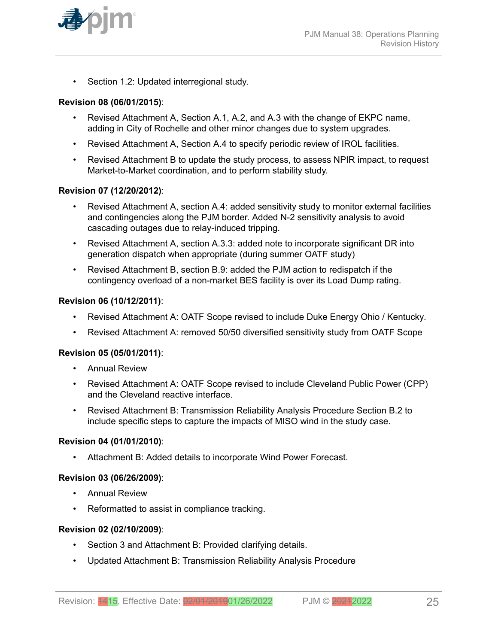

• Section 1.2: Updated interregional study.

### **Revision 08 (06/01/2015)**:

- Revised Attachment A, Section A.1, A.2, and A.3 with the change of EKPC name, adding in City of Rochelle and other minor changes due to system upgrades.
- Revised Attachment A, Section A.4 to specify periodic review of IROL facilities.
- Revised Attachment B to update the study process, to assess NPIR impact, to request Market-to-Market coordination, and to perform stability study.

#### **Revision 07 (12/20/2012)**:

- Revised Attachment A, section A.4: added sensitivity study to monitor external facilities and contingencies along the PJM border. Added N-2 sensitivity analysis to avoid cascading outages due to relay-induced tripping.
- Revised Attachment A, section A.3.3: added note to incorporate significant DR into generation dispatch when appropriate (during summer OATF study)
- Revised Attachment B, section B.9: added the PJM action to redispatch if the contingency overload of a non-market BES facility is over its Load Dump rating.

#### **Revision 06 (10/12/2011)**:

- Revised Attachment A: OATF Scope revised to include Duke Energy Ohio / Kentucky*.*
- Revised Attachment A: removed 50/50 diversified sensitivity study from OATF Scope

#### **Revision 05 (05/01/2011)**:

- Annual Review
- Revised Attachment A: OATF Scope revised to include Cleveland Public Power (CPP) and the Cleveland reactive interface.
- Revised Attachment B: Transmission Reliability Analysis Procedure Section B.2 to include specific steps to capture the impacts of MISO wind in the study case.

#### **Revision 04 (01/01/2010)**:

• Attachment B: Added details to incorporate Wind Power Forecast.

#### **Revision 03 (06/26/2009)**:

- Annual Review
- Reformatted to assist in compliance tracking.

#### **Revision 02 (02/10/2009)**:

- Section 3 and Attachment B: Provided clarifying details.
- Updated Attachment B: Transmission Reliability Analysis Procedure